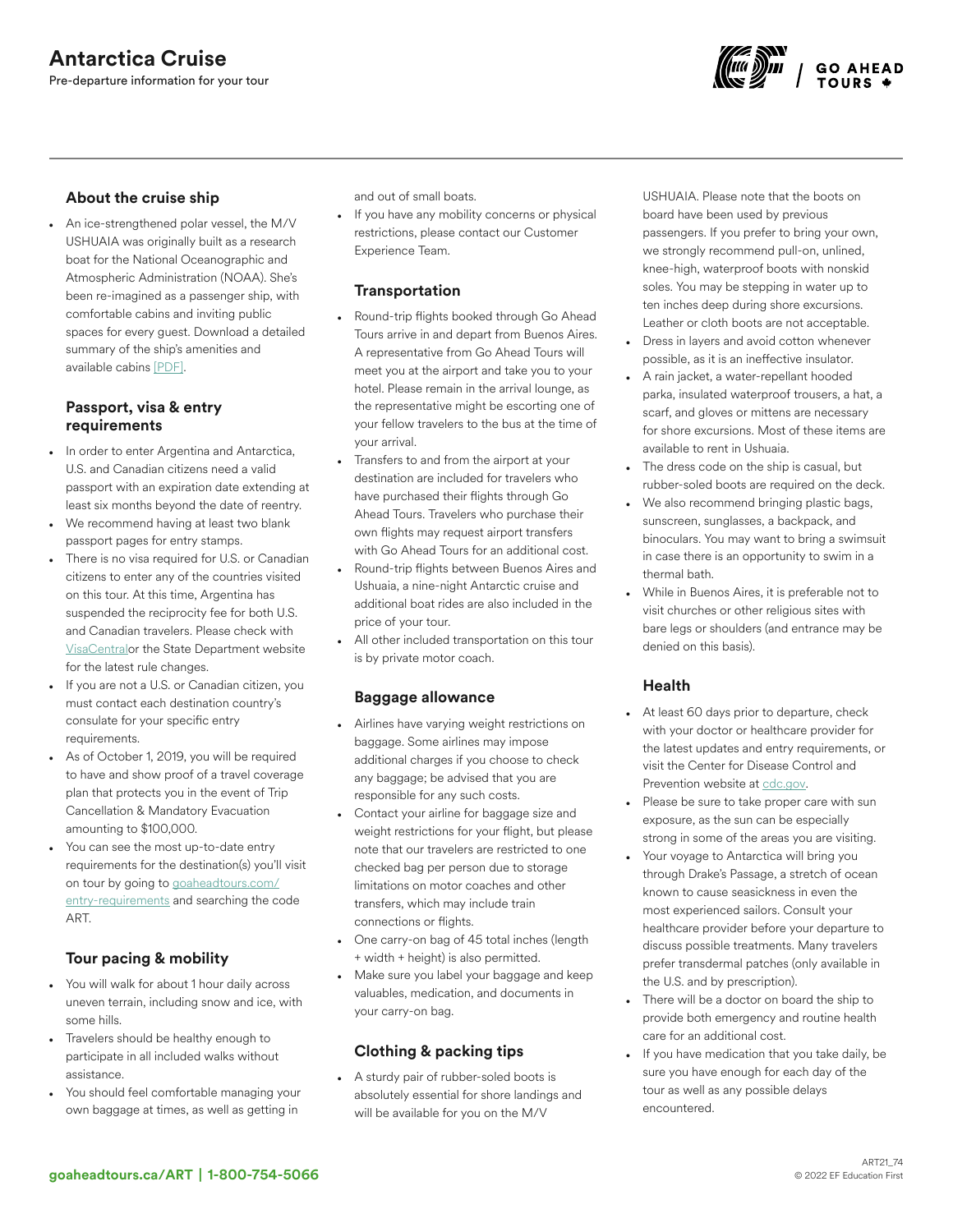

#### About the cruise ship

• An ice-strengthened polar vessel, the M/V USHUAIA was originally built as a research boat for the National Oceanographic and Atmospheric Administration (NOAA). She's been re-imagined as a passenger ship, with comfortable cabins and inviting public spaces for every guest. Download a detailed summary of the ship's amenities and available cabins [\[PDF\].](http://images.goaheadtours.com/Files/152/Cruise%20Sheet%20ART.pdf)

#### Passport, visa & entry requirements

- In order to enter Argentina and Antarctica, U.S. and Canadian citizens need a valid passport with an expiration date extending at least six months beyond the date of reentry.
- We recommend having at least two blank passport pages for entry stamps.
- There is no visa required for U.S. or Canadian citizens to enter any of the countries visited on this tour. At this time, Argentina has suspended the reciprocity fee for both U.S. and Canadian travelers. Please check with [VisaCentral](https://www.visacentral.com/goaheadtours)or the State Department website for the latest rule changes.
- If you are not a U.S. or Canadian citizen, you must contact each destination country's consulate for your specific entry requirements.
- As of October 1, 2019, you will be required to have and show proof of a travel coverage plan that protects you in the event of Trip Cancellation & Mandatory Evacuation amounting to \$100,000.
- You can see the most up-to-date entry requirements for the destination(s) you'll visit on tour by going to [goaheadtours.com/](/entry-requirements?tourCode=ART) [entry-requirements](/entry-requirements?tourCode=ART) and searching the code ART.

# Tour pacing & mobility

- You will walk for about 1 hour daily across uneven terrain, including snow and ice, with some hills.
- Travelers should be healthy enough to participate in all included walks without assistance.
- You should feel comfortable managing your own baggage at times, as well as getting in

and out of small boats.

• If you have any mobility concerns or physical restrictions, please contact our Customer Experience Team.

#### **Transportation**

- Round-trip flights booked through Go Ahead Tours arrive in and depart from Buenos Aires. A representative from Go Ahead Tours will meet you at the airport and take you to your hotel. Please remain in the arrival lounge, as the representative might be escorting one of your fellow travelers to the bus at the time of your arrival.
- Transfers to and from the airport at your destination are included for travelers who have purchased their flights through Go Ahead Tours. Travelers who purchase their own flights may request airport transfers with Go Ahead Tours for an additional cost.
- Round-trip flights between Buenos Aires and Ushuaia, a nine-night Antarctic cruise and additional boat rides are also included in the price of your tour.
- All other included transportation on this tour is by private motor coach.

#### Baggage allowance

- Airlines have varying weight restrictions on baggage. Some airlines may impose additional charges if you choose to check any baggage; be advised that you are responsible for any such costs.
- Contact your airline for baggage size and weight restrictions for your flight, but please note that our travelers are restricted to one checked bag per person due to storage limitations on motor coaches and other transfers, which may include train connections or flights.
- One carry-on bag of 45 total inches (length + width + height) is also permitted.
- Make sure you label your baggage and keep valuables, medication, and documents in your carry-on bag.

## Clothing & packing tips

• A sturdy pair of rubber-soled boots is absolutely essential for shore landings and will be available for you on the M/V

USHUAIA. Please note that the boots on board have been used by previous passengers. If you prefer to bring your own, we strongly recommend pull-on, unlined, knee-high, waterproof boots with nonskid soles. You may be stepping in water up to ten inches deep during shore excursions. Leather or cloth boots are not acceptable.

- Dress in layers and avoid cotton whenever possible, as it is an ineffective insulator.
- A rain jacket, a water-repellant hooded parka, insulated waterproof trousers, a hat, a scarf, and gloves or mittens are necessary for shore excursions. Most of these items are available to rent in Ushuaia.
- The dress code on the ship is casual, but rubber-soled boots are required on the deck.
- We also recommend bringing plastic bags, sunscreen, sunglasses, a backpack, and binoculars. You may want to bring a swimsuit in case there is an opportunity to swim in a thermal bath.
- While in Buenos Aires, it is preferable not to visit churches or other religious sites with bare legs or shoulders (and entrance may be denied on this basis).

#### Health

- At least 60 days prior to departure, check with your doctor or healthcare provider for the latest updates and entry requirements, or visit the Center for Disease Control and Prevention website at [cdc.gov.](https://www.cdc.gov/)
- Please be sure to take proper care with sun exposure, as the sun can be especially strong in some of the areas you are visiting.
- Your voyage to Antarctica will bring you through Drake's Passage, a stretch of ocean known to cause seasickness in even the most experienced sailors. Consult your healthcare provider before your departure to discuss possible treatments. Many travelers prefer transdermal patches (only available in the U.S. and by prescription).
- There will be a doctor on board the ship to provide both emergency and routine health care for an additional cost.
- If you have medication that you take daily, be sure you have enough for each day of the tour as well as any possible delays encountered.